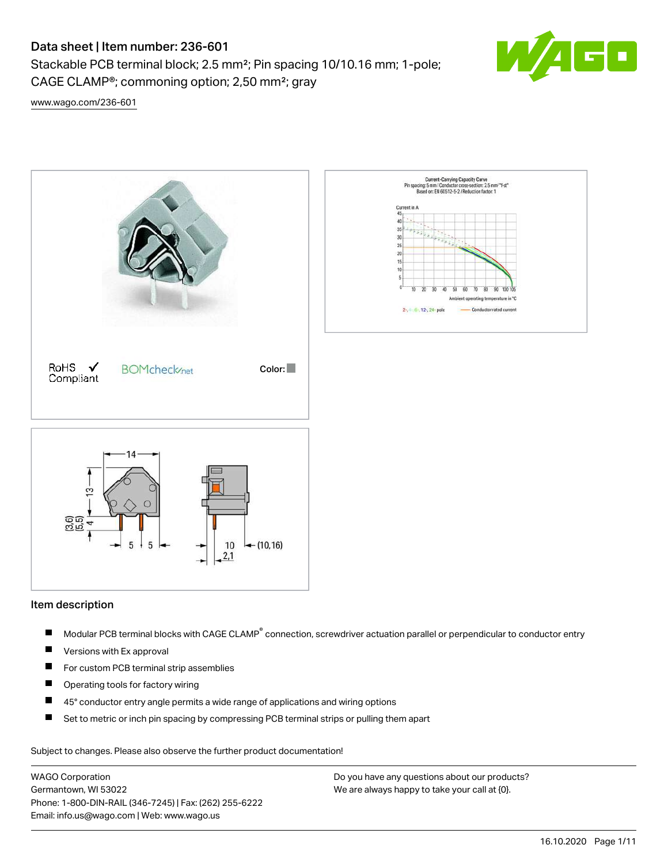Stackable PCB terminal block; 2.5 mm²; Pin spacing 10/10.16 mm; 1-pole; CAGE CLAMP®; commoning option; 2,50 mm²; gray



[www.wago.com/236-601](http://www.wago.com/236-601)



## Item description

- Modular PCB terminal blocks with CAGE CLAMP<sup>®</sup> connection, screwdriver actuation parallel or perpendicular to conductor entry П
- $\blacksquare$ Versions with Ex approval
- $\blacksquare$ For custom PCB terminal strip assemblies
- $\blacksquare$ Operating tools for factory wiring
- $\blacksquare$ 45° conductor entry angle permits a wide range of applications and wiring options
- $\blacksquare$ Set to metric or inch pin spacing by compressing PCB terminal strips or pulling them apart

Subject to changes. Please also observe the further product documentation!

WAGO Corporation Germantown, WI 53022 Phone: 1-800-DIN-RAIL (346-7245) | Fax: (262) 255-6222 Email: info.us@wago.com | Web: www.wago.us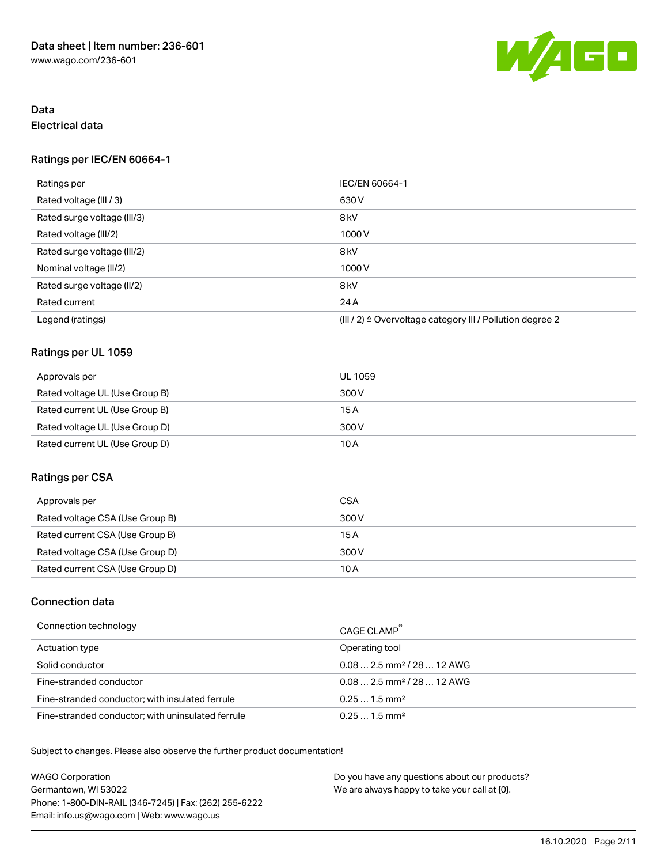

## Data Electrical data

## Ratings per IEC/EN 60664-1

| Ratings per                 | IEC/EN 60664-1                                            |
|-----------------------------|-----------------------------------------------------------|
| Rated voltage (III / 3)     | 630 V                                                     |
| Rated surge voltage (III/3) | 8 <sub>kV</sub>                                           |
| Rated voltage (III/2)       | 1000V                                                     |
| Rated surge voltage (III/2) | 8 <sub>kV</sub>                                           |
| Nominal voltage (II/2)      | 1000V                                                     |
| Rated surge voltage (II/2)  | 8 <sub>kV</sub>                                           |
| Rated current               | 24 A                                                      |
| Legend (ratings)            | (III / 2) ≙ Overvoltage category III / Pollution degree 2 |

## Ratings per UL 1059

| Approvals per                  | UL 1059 |
|--------------------------------|---------|
| Rated voltage UL (Use Group B) | 300 V   |
| Rated current UL (Use Group B) | 15 A    |
| Rated voltage UL (Use Group D) | 300 V   |
| Rated current UL (Use Group D) | 10 A    |

## Ratings per CSA

| Approvals per                   | CSA   |
|---------------------------------|-------|
| Rated voltage CSA (Use Group B) | 300 V |
| Rated current CSA (Use Group B) | 15 A  |
| Rated voltage CSA (Use Group D) | 300 V |
| Rated current CSA (Use Group D) | 10 A  |

## Connection data

| Connection technology                             | CAGE CLAMP <sup>®</sup>                |
|---------------------------------------------------|----------------------------------------|
| Actuation type                                    | Operating tool                         |
| Solid conductor                                   | $0.082.5$ mm <sup>2</sup> / 28  12 AWG |
| Fine-stranded conductor                           | $0.082.5$ mm <sup>2</sup> / 28  12 AWG |
| Fine-stranded conductor; with insulated ferrule   | $0.251.5$ mm <sup>2</sup>              |
| Fine-stranded conductor; with uninsulated ferrule | $0.251.5$ mm <sup>2</sup>              |

Subject to changes. Please also observe the further product documentation!

WAGO Corporation Germantown, WI 53022 Phone: 1-800-DIN-RAIL (346-7245) | Fax: (262) 255-6222 Email: info.us@wago.com | Web: www.wago.us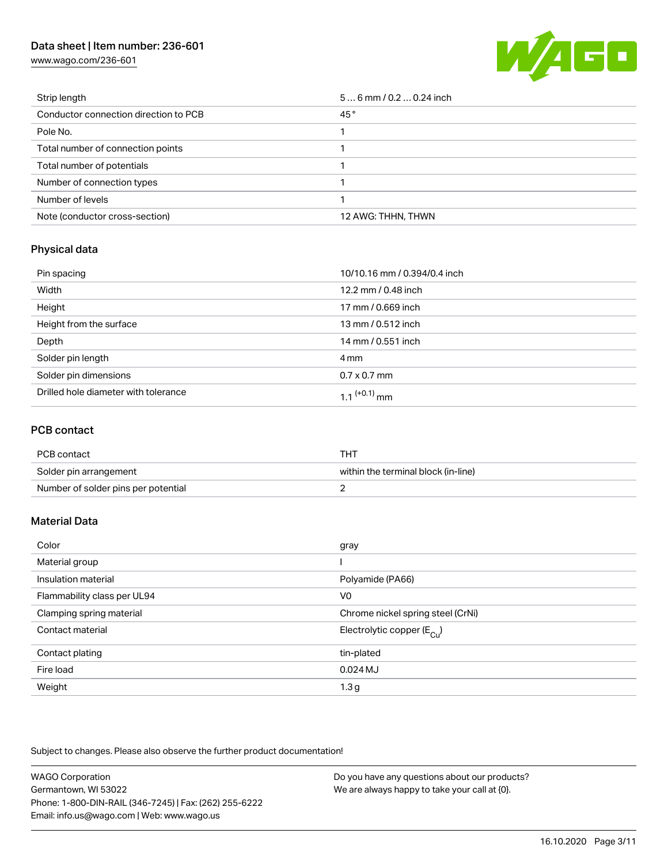[www.wago.com/236-601](http://www.wago.com/236-601)



| Strip length                          | $56$ mm / 0.2  0.24 inch |
|---------------------------------------|--------------------------|
| Conductor connection direction to PCB | 45°                      |
| Pole No.                              |                          |
| Total number of connection points     |                          |
| Total number of potentials            |                          |
| Number of connection types            |                          |
| Number of levels                      |                          |
| Note (conductor cross-section)        | 12 AWG: THHN, THWN       |

## Physical data

| Pin spacing                          | 10/10.16 mm / 0.394/0.4 inch |
|--------------------------------------|------------------------------|
| Width                                | 12.2 mm / 0.48 inch          |
| Height                               | 17 mm / 0.669 inch           |
| Height from the surface              | 13 mm / 0.512 inch           |
| Depth                                | 14 mm / 0.551 inch           |
| Solder pin length                    | 4 mm                         |
| Solder pin dimensions                | $0.7 \times 0.7$ mm          |
| Drilled hole diameter with tolerance | 1 1 $(+0.1)$ mm              |

### PCB contact

| PCB contact                         | THT                                 |
|-------------------------------------|-------------------------------------|
| Solder pin arrangement              | within the terminal block (in-line) |
| Number of solder pins per potential |                                     |

## Material Data

| Color                       | gray                                  |
|-----------------------------|---------------------------------------|
| Material group              |                                       |
| Insulation material         | Polyamide (PA66)                      |
| Flammability class per UL94 | V <sub>0</sub>                        |
| Clamping spring material    | Chrome nickel spring steel (CrNi)     |
| Contact material            | Electrolytic copper $(E_{\text{Cl}})$ |
| Contact plating             | tin-plated                            |
| Fire load                   | $0.024$ MJ                            |
| Weight                      | 1.3 <sub>g</sub>                      |

Subject to changes. Please also observe the further product documentation!

| <b>WAGO Corporation</b>                                | Do you have any questions about our products? |
|--------------------------------------------------------|-----------------------------------------------|
| Germantown, WI 53022                                   | We are always happy to take your call at {0}. |
| Phone: 1-800-DIN-RAIL (346-7245)   Fax: (262) 255-6222 |                                               |
| Email: info.us@wago.com   Web: www.wago.us             |                                               |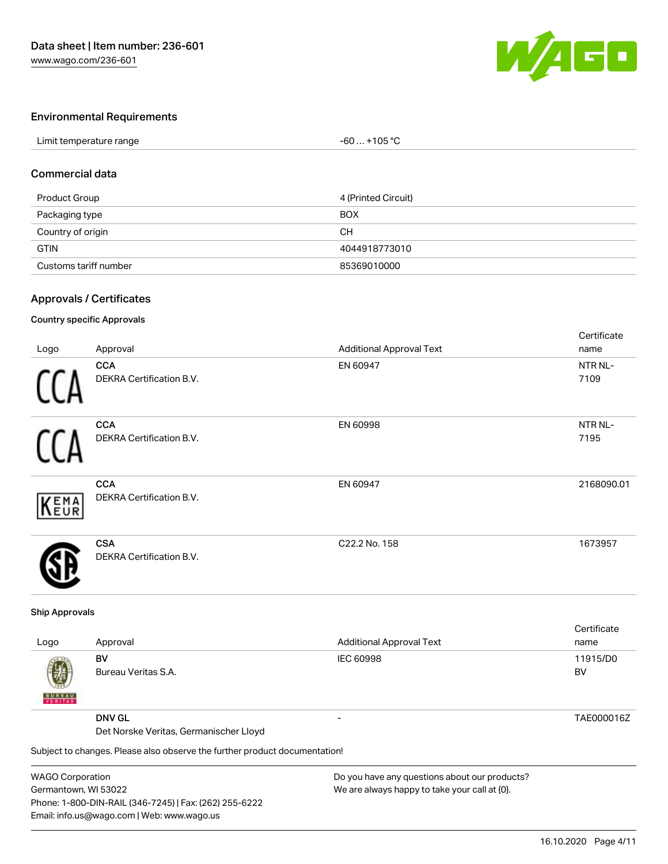

## Environmental Requirements

| Limit temperature range | +105 °C<br>-60 |  |
|-------------------------|----------------|--|

## Commercial data

| Product Group         | 4 (Printed Circuit) |
|-----------------------|---------------------|
| Packaging type        | <b>BOX</b>          |
| Country of origin     | CН                  |
| <b>GTIN</b>           | 4044918773010       |
| Customs tariff number | 85369010000         |

## Approvals / Certificates

#### Country specific Approvals

| Logo       | Approval                                      | <b>Additional Approval Text</b> | Certificate<br>name |
|------------|-----------------------------------------------|---------------------------------|---------------------|
|            | <b>CCA</b><br>DEKRA Certification B.V.        | EN 60947                        | NTR NL-<br>7109     |
|            | <b>CCA</b><br><b>DEKRA Certification B.V.</b> | EN 60998                        | NTR NL-<br>7195     |
| <b>EMA</b> | <b>CCA</b><br>DEKRA Certification B.V.        | EN 60947                        | 2168090.01          |
|            | <b>CSA</b><br><b>DEKRA Certification B.V.</b> | C22.2 No. 158                   | 1673957             |

#### Ship Approvals

|                           |                                                                            |                                               | Certificate |
|---------------------------|----------------------------------------------------------------------------|-----------------------------------------------|-------------|
| Logo                      | Approval                                                                   | <b>Additional Approval Text</b>               | name        |
|                           | BV                                                                         | <b>IEC 60998</b>                              | 11915/D0    |
| Ø                         | Bureau Veritas S.A.                                                        |                                               | BV          |
| <b>BUREAU</b><br>VERITAST |                                                                            |                                               |             |
|                           | <b>DNV GL</b>                                                              | -                                             | TAE000016Z  |
|                           | Det Norske Veritas, Germanischer Lloyd                                     |                                               |             |
|                           | Subject to changes. Please also observe the further product documentation! |                                               |             |
| $MADO$ Corporation        |                                                                            | Do vou have any questions about our producte? |             |

WAGO Corporation Germantown, WI 53022 Phone: 1-800-DIN-RAIL (346-7245) | Fax: (262) 255-6222 Email: info.us@wago.com | Web: www.wago.us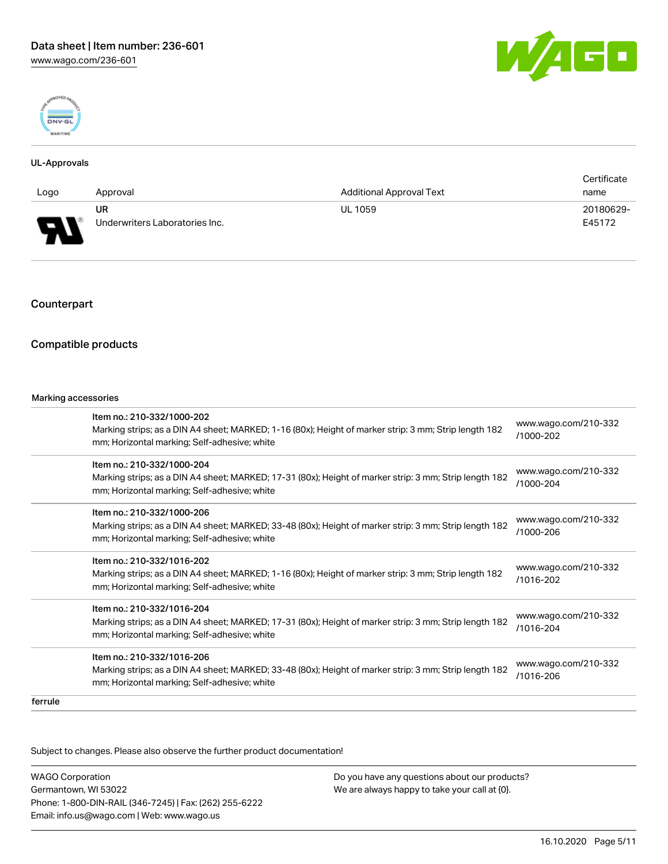



#### UL-Approvals

|                               |                                |                                 | Certificate |
|-------------------------------|--------------------------------|---------------------------------|-------------|
| Logo                          | Approval                       | <b>Additional Approval Text</b> | name        |
|                               | <b>UR</b>                      | <b>UL 1059</b>                  | 20180629-   |
| o<br>$\overline{\phantom{a}}$ | Underwriters Laboratories Inc. |                                 | E45172      |

## Counterpart

## Compatible products

#### Marking accessories

|         | Item no.: 210-332/1000-202<br>Marking strips; as a DIN A4 sheet; MARKED; 1-16 (80x); Height of marker strip: 3 mm; Strip length 182<br>mm; Horizontal marking; Self-adhesive; white<br>Item no.: 210-332/1000-204<br>mm; Horizontal marking; Self-adhesive; white<br>Item no.: 210-332/1000-206<br>mm; Horizontal marking; Self-adhesive; white<br>Item no.: 210-332/1016-202<br>Marking strips; as a DIN A4 sheet; MARKED; 1-16 (80x); Height of marker strip: 3 mm; Strip length 182<br>mm; Horizontal marking; Self-adhesive; white<br>Item no.: 210-332/1016-204<br>mm; Horizontal marking; Self-adhesive; white<br>Item no.: 210-332/1016-206 | www.wago.com/210-332<br>/1000-202 |
|---------|----------------------------------------------------------------------------------------------------------------------------------------------------------------------------------------------------------------------------------------------------------------------------------------------------------------------------------------------------------------------------------------------------------------------------------------------------------------------------------------------------------------------------------------------------------------------------------------------------------------------------------------------------|-----------------------------------|
|         | Marking strips; as a DIN A4 sheet; MARKED; 17-31 (80x); Height of marker strip: 3 mm; Strip length 182                                                                                                                                                                                                                                                                                                                                                                                                                                                                                                                                             | www.wago.com/210-332<br>/1000-204 |
|         | Marking strips; as a DIN A4 sheet; MARKED; 33-48 (80x); Height of marker strip: 3 mm; Strip length 182                                                                                                                                                                                                                                                                                                                                                                                                                                                                                                                                             | www.wago.com/210-332<br>/1000-206 |
|         |                                                                                                                                                                                                                                                                                                                                                                                                                                                                                                                                                                                                                                                    | www.wago.com/210-332<br>/1016-202 |
|         | Marking strips; as a DIN A4 sheet; MARKED; 17-31 (80x); Height of marker strip: 3 mm; Strip length 182                                                                                                                                                                                                                                                                                                                                                                                                                                                                                                                                             | www.wago.com/210-332<br>/1016-204 |
|         | Marking strips; as a DIN A4 sheet; MARKED; 33-48 (80x); Height of marker strip: 3 mm; Strip length 182<br>mm; Horizontal marking; Self-adhesive; white                                                                                                                                                                                                                                                                                                                                                                                                                                                                                             | www.wago.com/210-332<br>/1016-206 |
| ferrule |                                                                                                                                                                                                                                                                                                                                                                                                                                                                                                                                                                                                                                                    |                                   |

Subject to changes. Please also observe the further product documentation!

WAGO Corporation Germantown, WI 53022 Phone: 1-800-DIN-RAIL (346-7245) | Fax: (262) 255-6222 Email: info.us@wago.com | Web: www.wago.us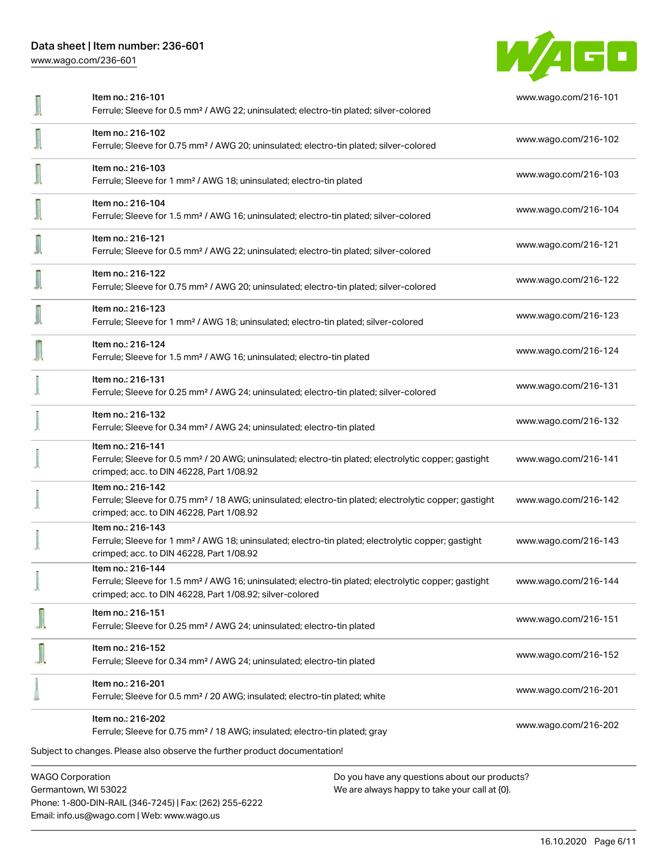[www.wago.com/236-601](http://www.wago.com/236-601)



| Item no.: 216-101<br>Ferrule; Sleeve for 0.5 mm <sup>2</sup> / AWG 22; uninsulated; electro-tin plated; silver-colored                                                                            | www.wago.com/216-101 |
|---------------------------------------------------------------------------------------------------------------------------------------------------------------------------------------------------|----------------------|
| Item no.: 216-102<br>Ferrule; Sleeve for 0.75 mm <sup>2</sup> / AWG 20; uninsulated; electro-tin plated; silver-colored                                                                           | www.wago.com/216-102 |
| Item no.: 216-103<br>Ferrule; Sleeve for 1 mm <sup>2</sup> / AWG 18; uninsulated; electro-tin plated                                                                                              | www.wago.com/216-103 |
| Item no.: 216-104<br>Ferrule; Sleeve for 1.5 mm <sup>2</sup> / AWG 16; uninsulated; electro-tin plated; silver-colored                                                                            | www.wago.com/216-104 |
| Item no.: 216-121<br>Ferrule; Sleeve for 0.5 mm <sup>2</sup> / AWG 22; uninsulated; electro-tin plated; silver-colored                                                                            | www.wago.com/216-121 |
| Item no.: 216-122<br>Ferrule; Sleeve for 0.75 mm <sup>2</sup> / AWG 20; uninsulated; electro-tin plated; silver-colored                                                                           | www.wago.com/216-122 |
| Item no.: 216-123<br>Ferrule; Sleeve for 1 mm <sup>2</sup> / AWG 18; uninsulated; electro-tin plated; silver-colored                                                                              | www.wago.com/216-123 |
| Item no.: 216-124<br>Ferrule; Sleeve for 1.5 mm <sup>2</sup> / AWG 16; uninsulated; electro-tin plated                                                                                            | www.wago.com/216-124 |
| Item no.: 216-131<br>Ferrule; Sleeve for 0.25 mm <sup>2</sup> / AWG 24; uninsulated; electro-tin plated; silver-colored                                                                           | www.wago.com/216-131 |
| Item no.: 216-132<br>Ferrule; Sleeve for 0.34 mm <sup>2</sup> / AWG 24; uninsulated; electro-tin plated                                                                                           | www.wago.com/216-132 |
| Item no.: 216-141<br>Ferrule; Sleeve for 0.5 mm <sup>2</sup> / 20 AWG; uninsulated; electro-tin plated; electrolytic copper; gastight<br>crimped; acc. to DIN 46228, Part 1/08.92                 | www.wago.com/216-141 |
| Item no.: 216-142<br>Ferrule; Sleeve for 0.75 mm <sup>2</sup> / 18 AWG; uninsulated; electro-tin plated; electrolytic copper; gastight<br>crimped; acc. to DIN 46228, Part 1/08.92                | www.wago.com/216-142 |
| Item no.: 216-143<br>Ferrule; Sleeve for 1 mm <sup>2</sup> / AWG 18; uninsulated; electro-tin plated; electrolytic copper; gastight<br>crimped; acc. to DIN 46228, Part 1/08.92                   | www.wago.com/216-143 |
| Item no.: 216-144<br>Ferrule; Sleeve for 1.5 mm <sup>2</sup> / AWG 16; uninsulated; electro-tin plated; electrolytic copper; gastight<br>crimped; acc. to DIN 46228, Part 1/08.92; silver-colored | www.wago.com/216-144 |
| Item no.: 216-151<br>Ferrule; Sleeve for 0.25 mm <sup>2</sup> / AWG 24; uninsulated; electro-tin plated                                                                                           | www.wago.com/216-151 |
| Item no.: 216-152<br>Ferrule; Sleeve for 0.34 mm <sup>2</sup> / AWG 24; uninsulated; electro-tin plated                                                                                           | www.wago.com/216-152 |
| Item no.: 216-201<br>Ferrule; Sleeve for 0.5 mm <sup>2</sup> / 20 AWG; insulated; electro-tin plated; white                                                                                       | www.wago.com/216-201 |
| Item no.: 216-202<br>Ferrule; Sleeve for 0.75 mm <sup>2</sup> / 18 AWG; insulated; electro-tin plated; gray                                                                                       | www.wago.com/216-202 |
| Subject to changes. Please also observe the further product documentation!                                                                                                                        |                      |
| <b>WAGO Corporation</b><br>Do you have any questions about our products?                                                                                                                          |                      |

Germantown, WI 53022 Phone: 1-800-DIN-RAIL (346-7245) | Fax: (262) 255-6222 Email: info.us@wago.com | Web: www.wago.us

We are always happy to take your call at {0}.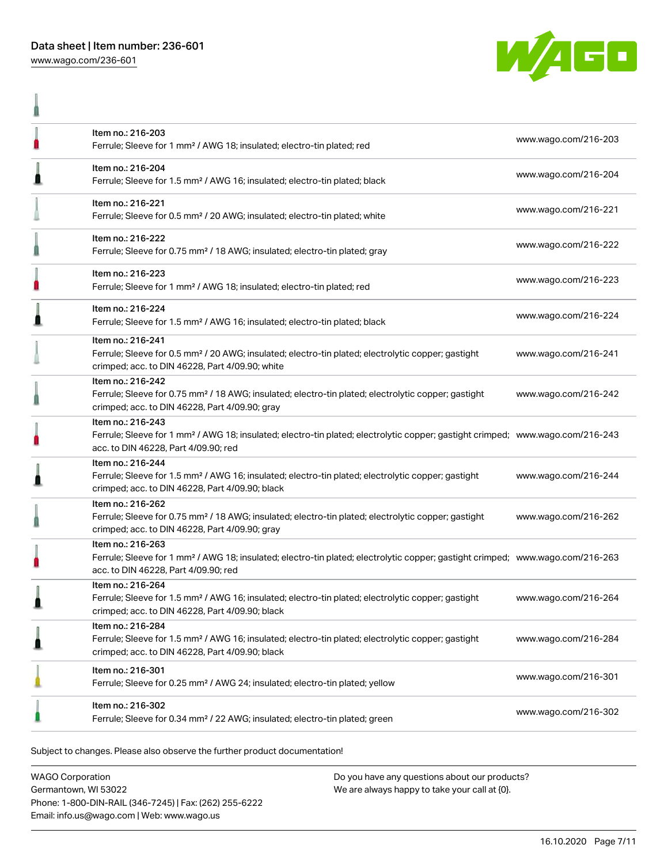ñ



|   | Item no.: 216-203<br>Ferrule; Sleeve for 1 mm <sup>2</sup> / AWG 18; insulated; electro-tin plated; red                                                                                                 | www.wago.com/216-203 |
|---|---------------------------------------------------------------------------------------------------------------------------------------------------------------------------------------------------------|----------------------|
|   | Item no.: 216-204<br>Ferrule; Sleeve for 1.5 mm <sup>2</sup> / AWG 16; insulated; electro-tin plated; black                                                                                             | www.wago.com/216-204 |
|   | Item no.: 216-221<br>Ferrule; Sleeve for 0.5 mm <sup>2</sup> / 20 AWG; insulated; electro-tin plated; white                                                                                             | www.wago.com/216-221 |
|   | Item no.: 216-222<br>Ferrule; Sleeve for 0.75 mm <sup>2</sup> / 18 AWG; insulated; electro-tin plated; gray                                                                                             | www.wago.com/216-222 |
| П | Item no.: 216-223<br>Ferrule; Sleeve for 1 mm <sup>2</sup> / AWG 18; insulated; electro-tin plated; red                                                                                                 | www.wago.com/216-223 |
|   | Item no.: 216-224<br>Ferrule; Sleeve for 1.5 mm <sup>2</sup> / AWG 16; insulated; electro-tin plated; black                                                                                             | www.wago.com/216-224 |
|   | Item no.: 216-241<br>Ferrule; Sleeve for 0.5 mm <sup>2</sup> / 20 AWG; insulated; electro-tin plated; electrolytic copper; gastight<br>crimped; acc. to DIN 46228, Part 4/09.90; white                  | www.wago.com/216-241 |
|   | Item no.: 216-242<br>Ferrule; Sleeve for 0.75 mm <sup>2</sup> / 18 AWG; insulated; electro-tin plated; electrolytic copper; gastight<br>crimped; acc. to DIN 46228, Part 4/09.90; gray                  | www.wago.com/216-242 |
| n | Item no.: 216-243<br>Ferrule; Sleeve for 1 mm <sup>2</sup> / AWG 18; insulated; electro-tin plated; electrolytic copper; gastight crimped; www.wago.com/216-243<br>acc. to DIN 46228, Part 4/09.90; red |                      |
|   | Item no.: 216-244<br>Ferrule; Sleeve for 1.5 mm <sup>2</sup> / AWG 16; insulated; electro-tin plated; electrolytic copper; gastight<br>crimped; acc. to DIN 46228, Part 4/09.90; black                  | www.wago.com/216-244 |
|   | Item no.: 216-262<br>Ferrule; Sleeve for 0.75 mm <sup>2</sup> / 18 AWG; insulated; electro-tin plated; electrolytic copper; gastight<br>crimped; acc. to DIN 46228, Part 4/09.90; gray                  | www.wago.com/216-262 |
|   | Item no.: 216-263<br>Ferrule; Sleeve for 1 mm <sup>2</sup> / AWG 18; insulated; electro-tin plated; electrolytic copper; gastight crimped; www.wago.com/216-263<br>acc. to DIN 46228, Part 4/09.90; red |                      |
|   | Item no.: 216-264<br>Ferrule; Sleeve for 1.5 mm <sup>2</sup> / AWG 16; insulated; electro-tin plated; electrolytic copper; gastight<br>crimped; acc. to DIN 46228, Part 4/09.90; black                  | www.wago.com/216-264 |
| ∎ | Item no.: 216-284<br>Ferrule; Sleeve for 1.5 mm <sup>2</sup> / AWG 16; insulated; electro-tin plated; electrolytic copper; gastight<br>crimped; acc. to DIN 46228, Part 4/09.90; black                  | www.wago.com/216-284 |
|   | Item no.: 216-301<br>Ferrule; Sleeve for 0.25 mm <sup>2</sup> / AWG 24; insulated; electro-tin plated; yellow                                                                                           | www.wago.com/216-301 |
|   | Item no.: 216-302<br>Ferrule; Sleeve for 0.34 mm <sup>2</sup> / 22 AWG; insulated; electro-tin plated; green                                                                                            | www.wago.com/216-302 |
|   |                                                                                                                                                                                                         |                      |

Subject to changes. Please also observe the further product documentation!

WAGO Corporation Germantown, WI 53022 Phone: 1-800-DIN-RAIL (346-7245) | Fax: (262) 255-6222 Email: info.us@wago.com | Web: www.wago.us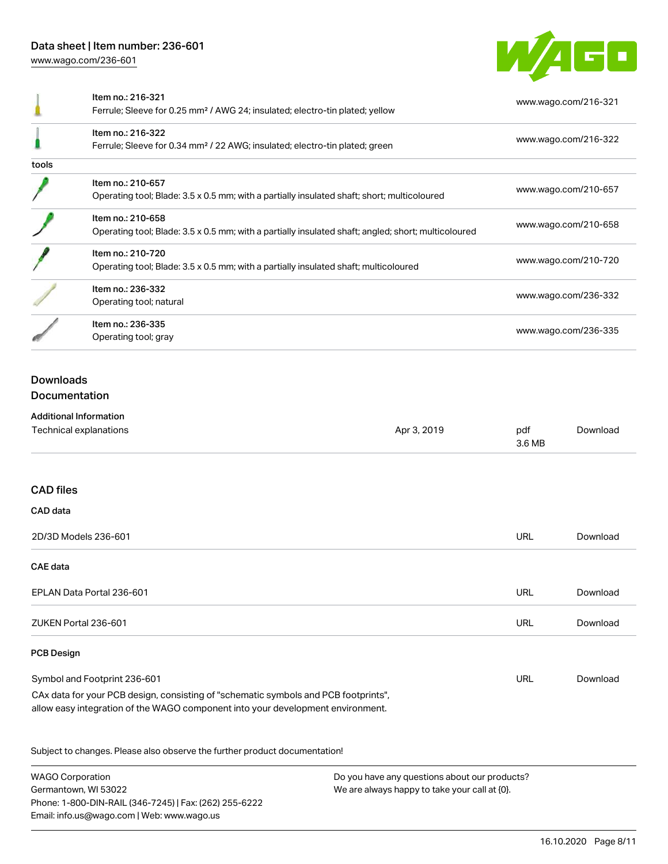Phone: 1-800-DIN-RAIL (346-7245) | Fax: (262) 255-6222

Email: info.us@wago.com | Web: www.wago.us



|                                   | Item no.: 216-321<br>Ferrule; Sleeve for 0.25 mm <sup>2</sup> / AWG 24; insulated; electro-tin plated; yellow                                                          |                                                                                                |                      | www.wago.com/216-321 |
|-----------------------------------|------------------------------------------------------------------------------------------------------------------------------------------------------------------------|------------------------------------------------------------------------------------------------|----------------------|----------------------|
|                                   | Item no.: 216-322<br>Ferrule; Sleeve for 0.34 mm <sup>2</sup> / 22 AWG; insulated; electro-tin plated; green                                                           |                                                                                                |                      | www.wago.com/216-322 |
| tools                             |                                                                                                                                                                        |                                                                                                |                      |                      |
|                                   | Item no.: 210-657<br>Operating tool; Blade: 3.5 x 0.5 mm; with a partially insulated shaft; short; multicoloured                                                       |                                                                                                |                      | www.wago.com/210-657 |
|                                   | Item no.: 210-658<br>Operating tool; Blade: 3.5 x 0.5 mm; with a partially insulated shaft; angled; short; multicoloured                                               |                                                                                                |                      | www.wago.com/210-658 |
|                                   | Item no.: 210-720<br>Operating tool; Blade: 3.5 x 0.5 mm; with a partially insulated shaft; multicoloured                                                              |                                                                                                |                      | www.wago.com/210-720 |
|                                   | Item no.: 236-332<br>Operating tool; natural                                                                                                                           |                                                                                                |                      | www.wago.com/236-332 |
|                                   | Item no.: 236-335<br>Operating tool; gray                                                                                                                              |                                                                                                | www.wago.com/236-335 |                      |
| <b>Downloads</b><br>Documentation | <b>Additional Information</b>                                                                                                                                          |                                                                                                |                      |                      |
|                                   | Technical explanations                                                                                                                                                 | Apr 3, 2019                                                                                    | pdf<br>3.6 MB        | Download             |
| <b>CAD</b> files                  |                                                                                                                                                                        |                                                                                                |                      |                      |
| CAD data                          |                                                                                                                                                                        |                                                                                                |                      |                      |
|                                   | 2D/3D Models 236-601                                                                                                                                                   |                                                                                                | <b>URL</b>           | Download             |
| CAE data                          |                                                                                                                                                                        |                                                                                                |                      |                      |
|                                   | EPLAN Data Portal 236-601                                                                                                                                              |                                                                                                | URL                  | Download             |
|                                   | ZUKEN Portal 236-601                                                                                                                                                   |                                                                                                | <b>URL</b>           | Download             |
| <b>PCB Design</b>                 |                                                                                                                                                                        |                                                                                                |                      |                      |
|                                   | Symbol and Footprint 236-601                                                                                                                                           |                                                                                                | URL                  | Download             |
|                                   | CAx data for your PCB design, consisting of "schematic symbols and PCB footprints",<br>allow easy integration of the WAGO component into your development environment. |                                                                                                |                      |                      |
|                                   | Subject to changes. Please also observe the further product documentation!                                                                                             |                                                                                                |                      |                      |
| <b>WAGO Corporation</b>           | Germantown, WI 53022                                                                                                                                                   | Do you have any questions about our products?<br>We are always happy to take your call at {0}. |                      |                      |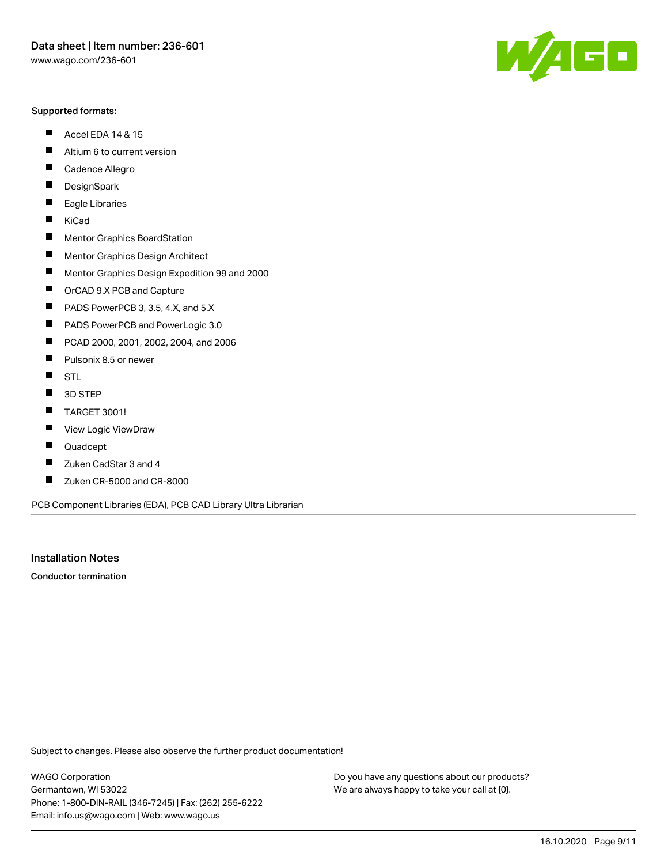#### Supported formats:

- $\blacksquare$ Accel EDA 14 & 15
- $\blacksquare$ Altium 6 to current version
- $\blacksquare$ Cadence Allegro
- $\blacksquare$ **DesignSpark**
- $\blacksquare$ Eagle Libraries
- $\blacksquare$ KiCad
- $\blacksquare$ Mentor Graphics BoardStation
- $\blacksquare$ Mentor Graphics Design Architect
- $\blacksquare$ Mentor Graphics Design Expedition 99 and 2000
- $\blacksquare$ OrCAD 9.X PCB and Capture
- $\blacksquare$ PADS PowerPCB 3, 3.5, 4.X, and 5.X
- $\blacksquare$ PADS PowerPCB and PowerLogic 3.0
- $\blacksquare$ PCAD 2000, 2001, 2002, 2004, and 2006
- $\blacksquare$ Pulsonix 8.5 or newer
- $\blacksquare$ STL
- 3D STEP П
- $\blacksquare$ TARGET 3001!
- $\blacksquare$ View Logic ViewDraw
- П Quadcept
- Zuken CadStar 3 and 4  $\blacksquare$
- Zuken CR-5000 and CR-8000 П

PCB Component Libraries (EDA), PCB CAD Library Ultra Librarian

Installation Notes

Conductor termination

Subject to changes. Please also observe the further product documentation!

WAGO Corporation Germantown, WI 53022 Phone: 1-800-DIN-RAIL (346-7245) | Fax: (262) 255-6222 Email: info.us@wago.com | Web: www.wago.us

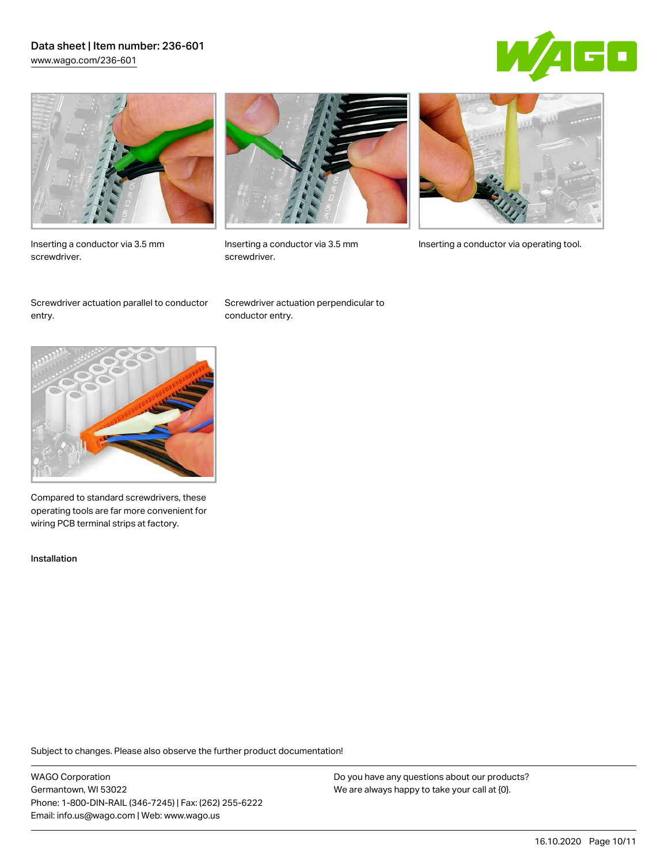## Data sheet | Item number: 236-601 [www.wago.com/236-601](http://www.wago.com/236-601)





Inserting a conductor via 3.5 mm screwdriver.



screwdriver.

Inserting a conductor via 3.5 mm Inserting a conductor via operating tool.

Screwdriver actuation parallel to conductor entry.

Screwdriver actuation perpendicular to conductor entry.



Compared to standard screwdrivers, these operating tools are far more convenient for wiring PCB terminal strips at factory.

Installation

Subject to changes. Please also observe the further product documentation!

WAGO Corporation Germantown, WI 53022 Phone: 1-800-DIN-RAIL (346-7245) | Fax: (262) 255-6222 Email: info.us@wago.com | Web: www.wago.us